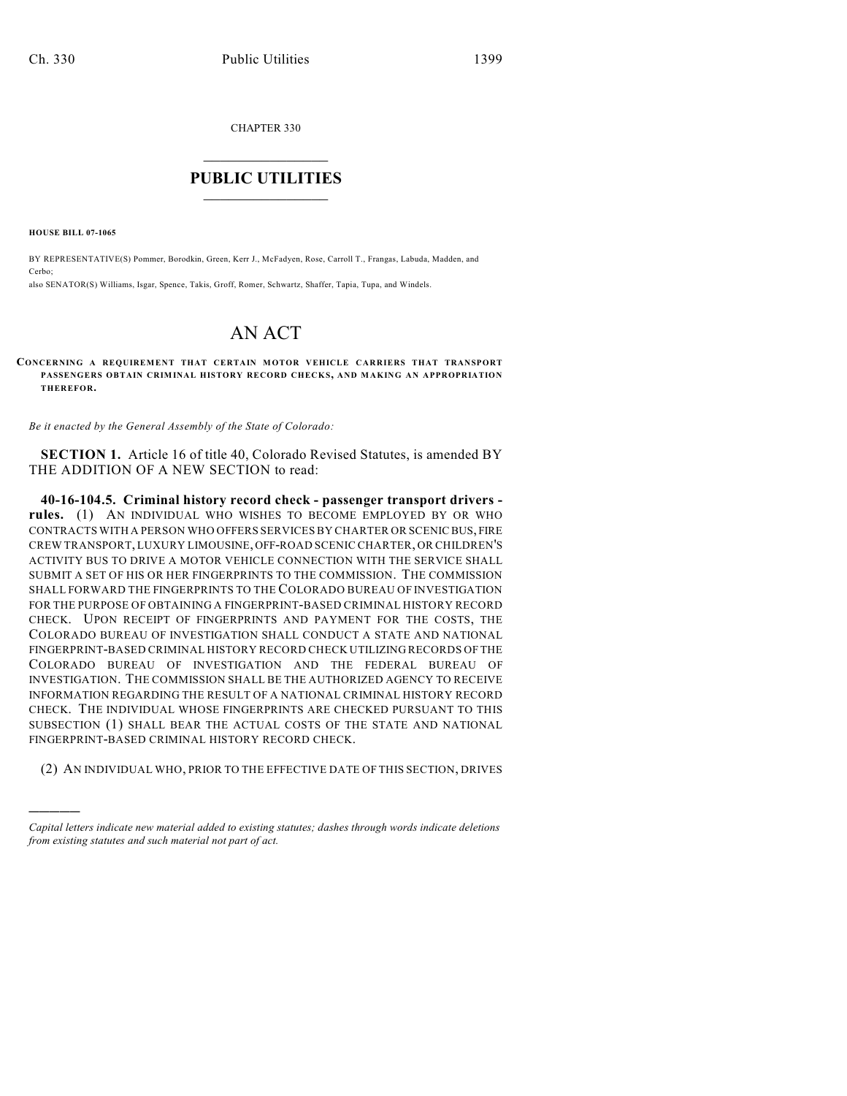CHAPTER 330

## $\mathcal{L}_\text{max}$  . The set of the set of the set of the set of the set of the set of the set of the set of the set of the set of the set of the set of the set of the set of the set of the set of the set of the set of the set **PUBLIC UTILITIES** \_\_\_\_\_\_\_\_\_\_\_\_\_\_\_

**HOUSE BILL 07-1065**

)))))

BY REPRESENTATIVE(S) Pommer, Borodkin, Green, Kerr J., McFadyen, Rose, Carroll T., Frangas, Labuda, Madden, and Cerbo; also SENATOR(S) Williams, Isgar, Spence, Takis, Groff, Romer, Schwartz, Shaffer, Tapia, Tupa, and Windels.

## AN ACT

**CONCERNING A REQUIREMENT THAT CERTAIN MOTOR VEHICLE CARRIERS THAT TRANSPORT** PASSENGERS OBTAIN CRIMINAL HISTORY RECORD CHECKS, AND MAKING AN APPROPRIATION **THEREFOR.**

*Be it enacted by the General Assembly of the State of Colorado:*

**SECTION 1.** Article 16 of title 40, Colorado Revised Statutes, is amended BY THE ADDITION OF A NEW SECTION to read:

**40-16-104.5. Criminal history record check - passenger transport drivers rules.** (1) AN INDIVIDUAL WHO WISHES TO BECOME EMPLOYED BY OR WHO CONTRACTS WITH A PERSON WHO OFFERS SERVICES BY CHARTER OR SCENIC BUS, FIRE CREW TRANSPORT, LUXURY LIMOUSINE, OFF-ROAD SCENIC CHARTER, OR CHILDREN'S ACTIVITY BUS TO DRIVE A MOTOR VEHICLE CONNECTION WITH THE SERVICE SHALL SUBMIT A SET OF HIS OR HER FINGERPRINTS TO THE COMMISSION. THE COMMISSION SHALL FORWARD THE FINGERPRINTS TO THE COLORADO BUREAU OF INVESTIGATION FOR THE PURPOSE OF OBTAINING A FINGERPRINT-BASED CRIMINAL HISTORY RECORD CHECK. UPON RECEIPT OF FINGERPRINTS AND PAYMENT FOR THE COSTS, THE COLORADO BUREAU OF INVESTIGATION SHALL CONDUCT A STATE AND NATIONAL FINGERPRINT-BASED CRIMINAL HISTORY RECORD CHECK UTILIZING RECORDS OF THE COLORADO BUREAU OF INVESTIGATION AND THE FEDERAL BUREAU OF INVESTIGATION. THE COMMISSION SHALL BE THE AUTHORIZED AGENCY TO RECEIVE INFORMATION REGARDING THE RESULT OF A NATIONAL CRIMINAL HISTORY RECORD CHECK. THE INDIVIDUAL WHOSE FINGERPRINTS ARE CHECKED PURSUANT TO THIS SUBSECTION (1) SHALL BEAR THE ACTUAL COSTS OF THE STATE AND NATIONAL FINGERPRINT-BASED CRIMINAL HISTORY RECORD CHECK.

(2) AN INDIVIDUAL WHO, PRIOR TO THE EFFECTIVE DATE OF THIS SECTION, DRIVES

*Capital letters indicate new material added to existing statutes; dashes through words indicate deletions from existing statutes and such material not part of act.*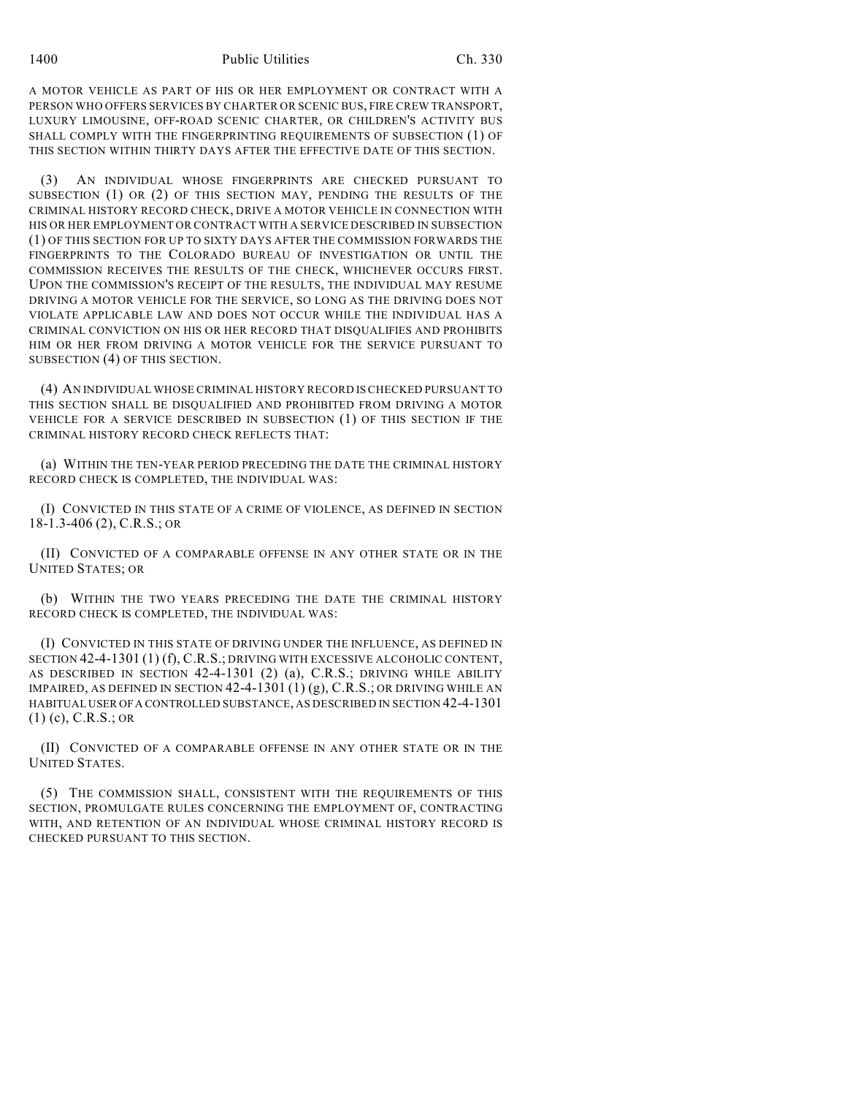A MOTOR VEHICLE AS PART OF HIS OR HER EMPLOYMENT OR CONTRACT WITH A PERSON WHO OFFERS SERVICES BY CHARTER OR SCENIC BUS, FIRE CREW TRANSPORT, LUXURY LIMOUSINE, OFF-ROAD SCENIC CHARTER, OR CHILDREN'S ACTIVITY BUS SHALL COMPLY WITH THE FINGERPRINTING REQUIREMENTS OF SUBSECTION (1) OF THIS SECTION WITHIN THIRTY DAYS AFTER THE EFFECTIVE DATE OF THIS SECTION.

(3) AN INDIVIDUAL WHOSE FINGERPRINTS ARE CHECKED PURSUANT TO SUBSECTION (1) OR (2) OF THIS SECTION MAY, PENDING THE RESULTS OF THE CRIMINAL HISTORY RECORD CHECK, DRIVE A MOTOR VEHICLE IN CONNECTION WITH HIS OR HER EMPLOYMENT OR CONTRACT WITH A SERVICE DESCRIBED IN SUBSECTION (1) OF THIS SECTION FOR UP TO SIXTY DAYS AFTER THE COMMISSION FORWARDS THE FINGERPRINTS TO THE COLORADO BUREAU OF INVESTIGATION OR UNTIL THE COMMISSION RECEIVES THE RESULTS OF THE CHECK, WHICHEVER OCCURS FIRST. UPON THE COMMISSION'S RECEIPT OF THE RESULTS, THE INDIVIDUAL MAY RESUME DRIVING A MOTOR VEHICLE FOR THE SERVICE, SO LONG AS THE DRIVING DOES NOT VIOLATE APPLICABLE LAW AND DOES NOT OCCUR WHILE THE INDIVIDUAL HAS A CRIMINAL CONVICTION ON HIS OR HER RECORD THAT DISQUALIFIES AND PROHIBITS HIM OR HER FROM DRIVING A MOTOR VEHICLE FOR THE SERVICE PURSUANT TO SUBSECTION (4) OF THIS SECTION.

(4) AN INDIVIDUAL WHOSE CRIMINAL HISTORY RECORD IS CHECKED PURSUANT TO THIS SECTION SHALL BE DISQUALIFIED AND PROHIBITED FROM DRIVING A MOTOR VEHICLE FOR A SERVICE DESCRIBED IN SUBSECTION (1) OF THIS SECTION IF THE CRIMINAL HISTORY RECORD CHECK REFLECTS THAT:

(a) WITHIN THE TEN-YEAR PERIOD PRECEDING THE DATE THE CRIMINAL HISTORY RECORD CHECK IS COMPLETED, THE INDIVIDUAL WAS:

(I) CONVICTED IN THIS STATE OF A CRIME OF VIOLENCE, AS DEFINED IN SECTION 18-1.3-406 (2), C.R.S.; OR

(II) CONVICTED OF A COMPARABLE OFFENSE IN ANY OTHER STATE OR IN THE UNITED STATES; OR

(b) WITHIN THE TWO YEARS PRECEDING THE DATE THE CRIMINAL HISTORY RECORD CHECK IS COMPLETED, THE INDIVIDUAL WAS:

(I) CONVICTED IN THIS STATE OF DRIVING UNDER THE INFLUENCE, AS DEFINED IN SECTION 42-4-1301 (1) (f), C.R.S.; DRIVING WITH EXCESSIVE ALCOHOLIC CONTENT, AS DESCRIBED IN SECTION 42-4-1301 (2) (a), C.R.S.; DRIVING WHILE ABILITY IMPAIRED, AS DEFINED IN SECTION  $42-4-1301(1)(g)$ , C.R.S.; OR DRIVING WHILE AN HABITUAL USER OF A CONTROLLED SUBSTANCE, AS DESCRIBED IN SECTION 42-4-1301 (1) (c), C.R.S.; OR

(II) CONVICTED OF A COMPARABLE OFFENSE IN ANY OTHER STATE OR IN THE UNITED STATES.

(5) THE COMMISSION SHALL, CONSISTENT WITH THE REQUIREMENTS OF THIS SECTION, PROMULGATE RULES CONCERNING THE EMPLOYMENT OF, CONTRACTING WITH, AND RETENTION OF AN INDIVIDUAL WHOSE CRIMINAL HISTORY RECORD IS CHECKED PURSUANT TO THIS SECTION.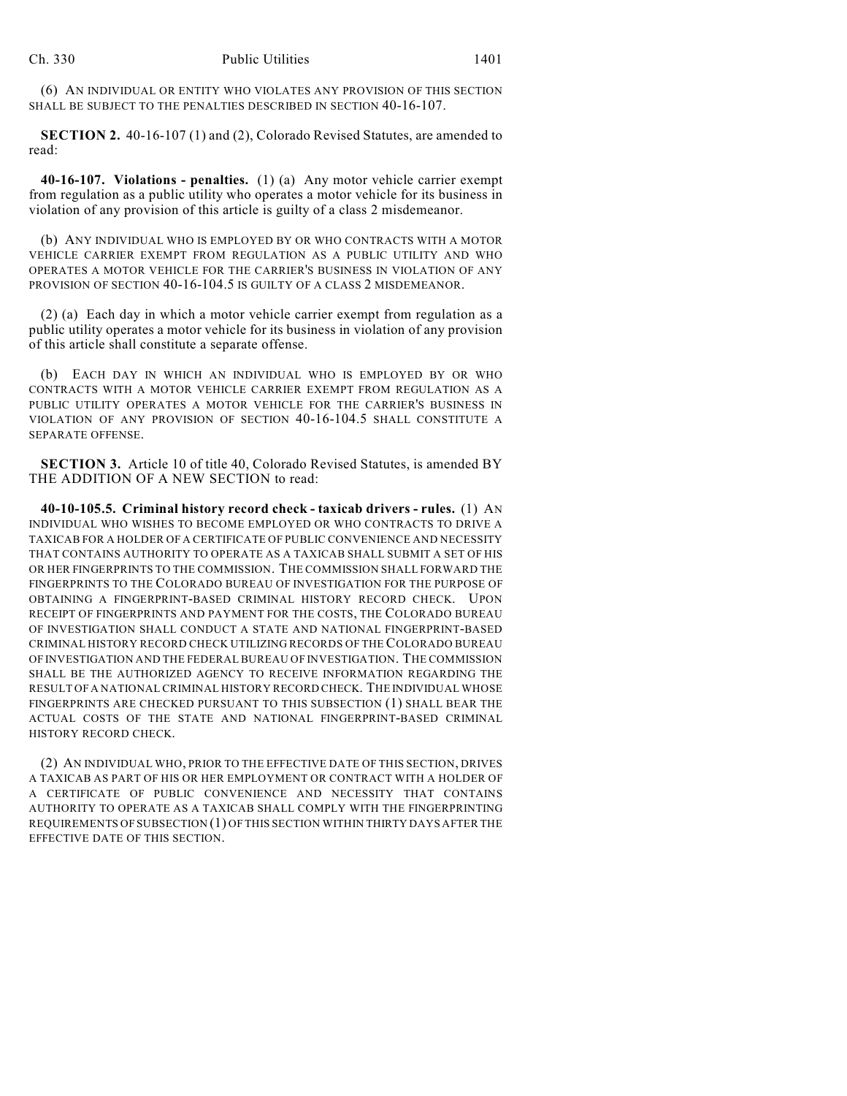(6) AN INDIVIDUAL OR ENTITY WHO VIOLATES ANY PROVISION OF THIS SECTION SHALL BE SUBJECT TO THE PENALTIES DESCRIBED IN SECTION 40-16-107.

**SECTION 2.** 40-16-107 (1) and (2), Colorado Revised Statutes, are amended to read:

**40-16-107. Violations - penalties.** (1) (a) Any motor vehicle carrier exempt from regulation as a public utility who operates a motor vehicle for its business in violation of any provision of this article is guilty of a class 2 misdemeanor.

(b) ANY INDIVIDUAL WHO IS EMPLOYED BY OR WHO CONTRACTS WITH A MOTOR VEHICLE CARRIER EXEMPT FROM REGULATION AS A PUBLIC UTILITY AND WHO OPERATES A MOTOR VEHICLE FOR THE CARRIER'S BUSINESS IN VIOLATION OF ANY PROVISION OF SECTION 40-16-104.5 IS GUILTY OF A CLASS 2 MISDEMEANOR.

(2) (a) Each day in which a motor vehicle carrier exempt from regulation as a public utility operates a motor vehicle for its business in violation of any provision of this article shall constitute a separate offense.

(b) EACH DAY IN WHICH AN INDIVIDUAL WHO IS EMPLOYED BY OR WHO CONTRACTS WITH A MOTOR VEHICLE CARRIER EXEMPT FROM REGULATION AS A PUBLIC UTILITY OPERATES A MOTOR VEHICLE FOR THE CARRIER'S BUSINESS IN VIOLATION OF ANY PROVISION OF SECTION 40-16-104.5 SHALL CONSTITUTE A SEPARATE OFFENSE.

**SECTION 3.** Article 10 of title 40, Colorado Revised Statutes, is amended BY THE ADDITION OF A NEW SECTION to read:

**40-10-105.5. Criminal history record check - taxicab drivers - rules.** (1) AN INDIVIDUAL WHO WISHES TO BECOME EMPLOYED OR WHO CONTRACTS TO DRIVE A TAXICAB FOR A HOLDER OF A CERTIFICATE OF PUBLIC CONVENIENCE AND NECESSITY THAT CONTAINS AUTHORITY TO OPERATE AS A TAXICAB SHALL SUBMIT A SET OF HIS OR HER FINGERPRINTS TO THE COMMISSION. THE COMMISSION SHALL FORWARD THE FINGERPRINTS TO THE COLORADO BUREAU OF INVESTIGATION FOR THE PURPOSE OF OBTAINING A FINGERPRINT-BASED CRIMINAL HISTORY RECORD CHECK. UPON RECEIPT OF FINGERPRINTS AND PAYMENT FOR THE COSTS, THE COLORADO BUREAU OF INVESTIGATION SHALL CONDUCT A STATE AND NATIONAL FINGERPRINT-BASED CRIMINAL HISTORY RECORD CHECK UTILIZING RECORDS OF THE COLORADO BUREAU OF INVESTIGATION AND THE FEDERAL BUREAU OF INVESTIGATION. THE COMMISSION SHALL BE THE AUTHORIZED AGENCY TO RECEIVE INFORMATION REGARDING THE RESULT OF A NATIONAL CRIMINAL HISTORY RECORD CHECK. THE INDIVIDUAL WHOSE FINGERPRINTS ARE CHECKED PURSUANT TO THIS SUBSECTION (1) SHALL BEAR THE ACTUAL COSTS OF THE STATE AND NATIONAL FINGERPRINT-BASED CRIMINAL HISTORY RECORD CHECK.

(2) AN INDIVIDUAL WHO, PRIOR TO THE EFFECTIVE DATE OF THIS SECTION, DRIVES A TAXICAB AS PART OF HIS OR HER EMPLOYMENT OR CONTRACT WITH A HOLDER OF A CERTIFICATE OF PUBLIC CONVENIENCE AND NECESSITY THAT CONTAINS AUTHORITY TO OPERATE AS A TAXICAB SHALL COMPLY WITH THE FINGERPRINTING REQUIREMENTS OF SUBSECTION (1) OF THIS SECTION WITHIN THIRTY DAYS AFTER THE EFFECTIVE DATE OF THIS SECTION.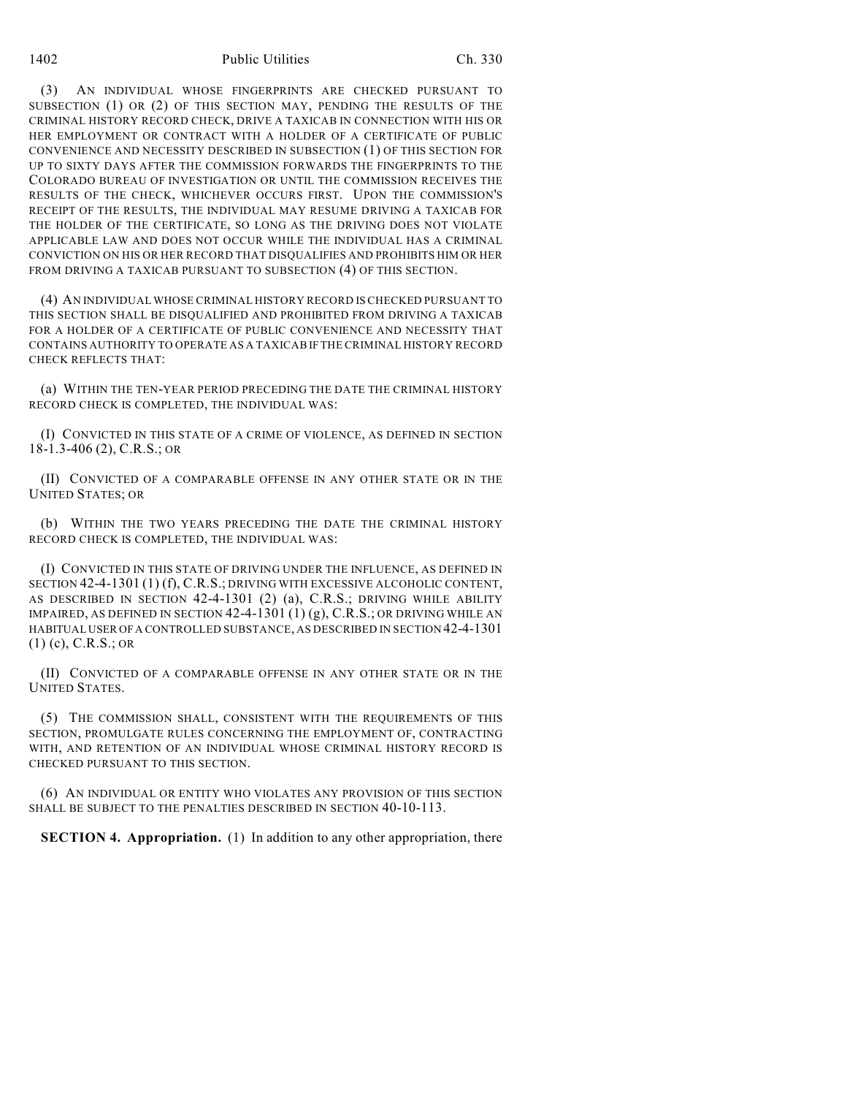(3) AN INDIVIDUAL WHOSE FINGERPRINTS ARE CHECKED PURSUANT TO SUBSECTION (1) OR (2) OF THIS SECTION MAY, PENDING THE RESULTS OF THE CRIMINAL HISTORY RECORD CHECK, DRIVE A TAXICAB IN CONNECTION WITH HIS OR HER EMPLOYMENT OR CONTRACT WITH A HOLDER OF A CERTIFICATE OF PUBLIC CONVENIENCE AND NECESSITY DESCRIBED IN SUBSECTION (1) OF THIS SECTION FOR UP TO SIXTY DAYS AFTER THE COMMISSION FORWARDS THE FINGERPRINTS TO THE COLORADO BUREAU OF INVESTIGATION OR UNTIL THE COMMISSION RECEIVES THE RESULTS OF THE CHECK, WHICHEVER OCCURS FIRST. UPON THE COMMISSION'S RECEIPT OF THE RESULTS, THE INDIVIDUAL MAY RESUME DRIVING A TAXICAB FOR THE HOLDER OF THE CERTIFICATE, SO LONG AS THE DRIVING DOES NOT VIOLATE APPLICABLE LAW AND DOES NOT OCCUR WHILE THE INDIVIDUAL HAS A CRIMINAL CONVICTION ON HIS OR HER RECORD THAT DISQUALIFIES AND PROHIBITS HIM OR HER FROM DRIVING A TAXICAB PURSUANT TO SUBSECTION (4) OF THIS SECTION.

(4) AN INDIVIDUAL WHOSE CRIMINAL HISTORY RECORD IS CHECKED PURSUANT TO THIS SECTION SHALL BE DISQUALIFIED AND PROHIBITED FROM DRIVING A TAXICAB FOR A HOLDER OF A CERTIFICATE OF PUBLIC CONVENIENCE AND NECESSITY THAT CONTAINS AUTHORITY TO OPERATE AS A TAXICAB IF THE CRIMINAL HISTORY RECORD CHECK REFLECTS THAT:

(a) WITHIN THE TEN-YEAR PERIOD PRECEDING THE DATE THE CRIMINAL HISTORY RECORD CHECK IS COMPLETED, THE INDIVIDUAL WAS:

(I) CONVICTED IN THIS STATE OF A CRIME OF VIOLENCE, AS DEFINED IN SECTION 18-1.3-406 (2), C.R.S.; OR

(II) CONVICTED OF A COMPARABLE OFFENSE IN ANY OTHER STATE OR IN THE UNITED STATES; OR

(b) WITHIN THE TWO YEARS PRECEDING THE DATE THE CRIMINAL HISTORY RECORD CHECK IS COMPLETED, THE INDIVIDUAL WAS:

(I) CONVICTED IN THIS STATE OF DRIVING UNDER THE INFLUENCE, AS DEFINED IN SECTION 42-4-1301 (1) (f), C.R.S.; DRIVING WITH EXCESSIVE ALCOHOLIC CONTENT, AS DESCRIBED IN SECTION 42-4-1301 (2) (a), C.R.S.; DRIVING WHILE ABILITY IMPAIRED, AS DEFINED IN SECTION  $42-4-1301(1)(g)$ , C.R.S.; OR DRIVING WHILE AN HABITUAL USER OF A CONTROLLED SUBSTANCE, AS DESCRIBED IN SECTION 42-4-1301 (1) (c), C.R.S.; OR

(II) CONVICTED OF A COMPARABLE OFFENSE IN ANY OTHER STATE OR IN THE UNITED STATES.

(5) THE COMMISSION SHALL, CONSISTENT WITH THE REQUIREMENTS OF THIS SECTION, PROMULGATE RULES CONCERNING THE EMPLOYMENT OF, CONTRACTING WITH, AND RETENTION OF AN INDIVIDUAL WHOSE CRIMINAL HISTORY RECORD IS CHECKED PURSUANT TO THIS SECTION.

(6) AN INDIVIDUAL OR ENTITY WHO VIOLATES ANY PROVISION OF THIS SECTION SHALL BE SUBJECT TO THE PENALTIES DESCRIBED IN SECTION 40-10-113.

**SECTION 4. Appropriation.** (1) In addition to any other appropriation, there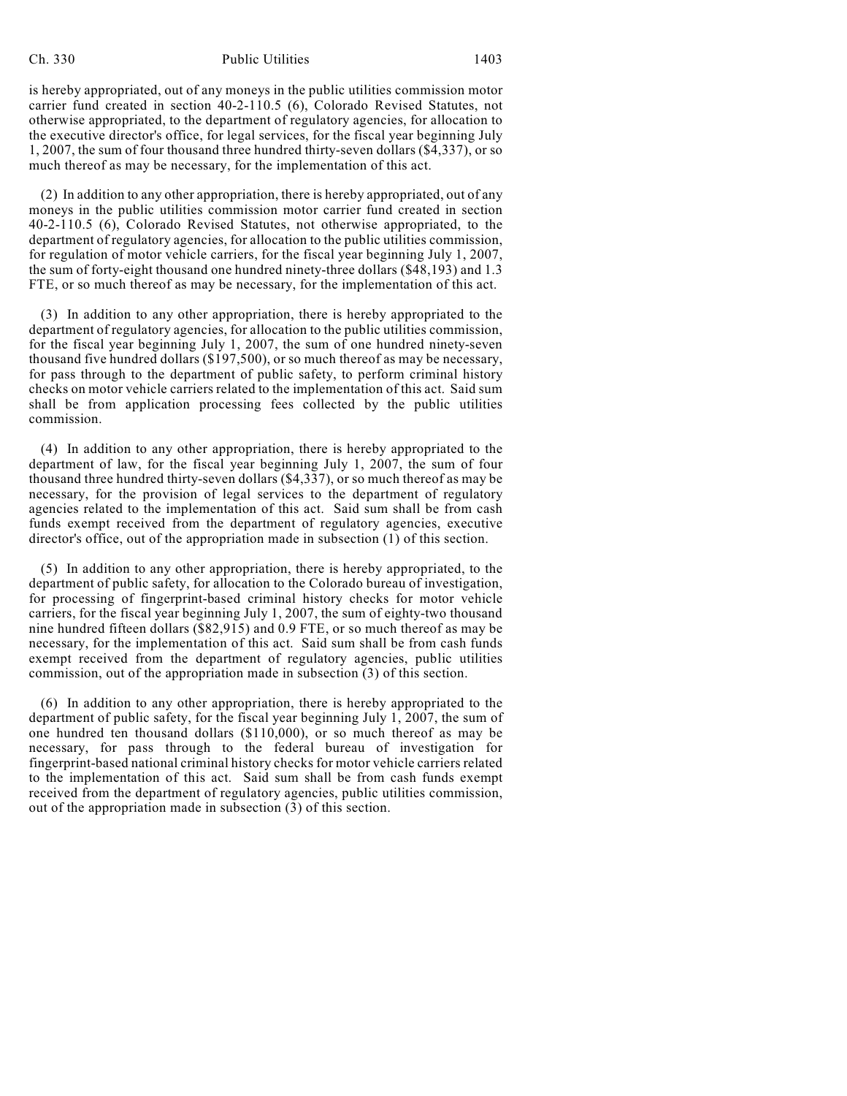## Ch. 330 Public Utilities 1403

is hereby appropriated, out of any moneys in the public utilities commission motor carrier fund created in section 40-2-110.5 (6), Colorado Revised Statutes, not otherwise appropriated, to the department of regulatory agencies, for allocation to the executive director's office, for legal services, for the fiscal year beginning July 1, 2007, the sum of four thousand three hundred thirty-seven dollars (\$4,337), or so much thereof as may be necessary, for the implementation of this act.

(2) In addition to any other appropriation, there is hereby appropriated, out of any moneys in the public utilities commission motor carrier fund created in section 40-2-110.5 (6), Colorado Revised Statutes, not otherwise appropriated, to the department of regulatory agencies, for allocation to the public utilities commission, for regulation of motor vehicle carriers, for the fiscal year beginning July 1, 2007, the sum of forty-eight thousand one hundred ninety-three dollars (\$48,193) and 1.3 FTE, or so much thereof as may be necessary, for the implementation of this act.

(3) In addition to any other appropriation, there is hereby appropriated to the department of regulatory agencies, for allocation to the public utilities commission, for the fiscal year beginning July 1, 2007, the sum of one hundred ninety-seven thousand five hundred dollars (\$197,500), or so much thereof as may be necessary, for pass through to the department of public safety, to perform criminal history checks on motor vehicle carriers related to the implementation of this act. Said sum shall be from application processing fees collected by the public utilities commission.

(4) In addition to any other appropriation, there is hereby appropriated to the department of law, for the fiscal year beginning July 1, 2007, the sum of four thousand three hundred thirty-seven dollars (\$4,337), or so much thereof as may be necessary, for the provision of legal services to the department of regulatory agencies related to the implementation of this act. Said sum shall be from cash funds exempt received from the department of regulatory agencies, executive director's office, out of the appropriation made in subsection (1) of this section.

(5) In addition to any other appropriation, there is hereby appropriated, to the department of public safety, for allocation to the Colorado bureau of investigation, for processing of fingerprint-based criminal history checks for motor vehicle carriers, for the fiscal year beginning July 1, 2007, the sum of eighty-two thousand nine hundred fifteen dollars (\$82,915) and 0.9 FTE, or so much thereof as may be necessary, for the implementation of this act. Said sum shall be from cash funds exempt received from the department of regulatory agencies, public utilities commission, out of the appropriation made in subsection (3) of this section.

(6) In addition to any other appropriation, there is hereby appropriated to the department of public safety, for the fiscal year beginning July 1, 2007, the sum of one hundred ten thousand dollars (\$110,000), or so much thereof as may be necessary, for pass through to the federal bureau of investigation for fingerprint-based national criminal history checks for motor vehicle carriers related to the implementation of this act. Said sum shall be from cash funds exempt received from the department of regulatory agencies, public utilities commission, out of the appropriation made in subsection (3) of this section.